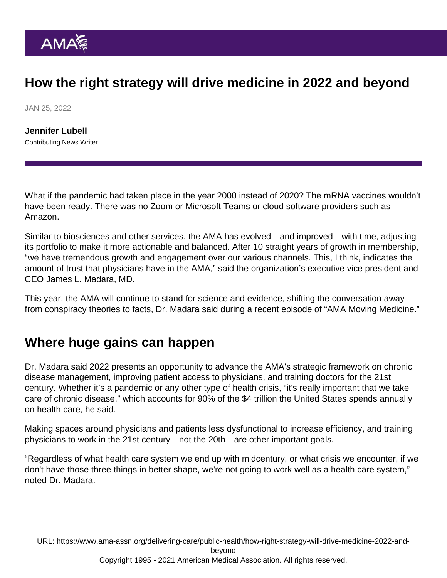## How the right strategy will drive medicine in 2022 and beyond

JAN 25, 2022

[Jennifer Lubell](https://www.ama-assn.org/news-leadership-viewpoints/authors-news-leadership-viewpoints/jennifer-lubell) Contributing News Writer

What if the pandemic had taken place in the year 2000 instead of 2020? The mRNA vaccines wouldn't have been ready. There was no Zoom or Microsoft Teams or cloud software providers such as Amazon.

Similar to biosciences and other services, the AMA has evolved—and improved—with time, adjusting its portfolio to make it more actionable and balanced. After [10 straight years of growth in membership](https://www.ama-assn.org/about/leadership/ama-membership-growth-sign-physicians-demand-change), "we have tremendous growth and engagement over our various channels. This, I think, indicates the amount of trust that physicians have in the AMA," said the organization's executive vice president and CEO [James L. Madara, MD](https://www.ama-assn.org/news-leadership-viewpoints/authors-news-leadership-viewpoints/james-l-madara-md).

This year, the AMA will continue to stand for science and evidence, shifting the conversation away from conspiracy theories to facts, Dr. Madara said during a [recent episode](https://www.ama-assn.org/practice-management/sustainability/james-madara-md-future-medicine-2022) of ["AMA Moving Medicine.](https://www.ama-assn.org/series/moving-medicine-video-update)"

## Where huge gains can happen

Dr. Madara said 2022 presents an opportunity to advance the AMA's strategic framework on chronic disease management, improving patient access to physicians, and [training doctors for the 21st](https://www.ama-assn.org/education/accelerating-change-medical-education) [century](https://www.ama-assn.org/education/accelerating-change-medical-education). Whether it's a pandemic or any other type of health crisis, "it's really important that we take care of [chronic disease](https://www.ama-assn.org/topics/chronic-diseases)," which accounts for 90% of the \$4 trillion the United States spends annually on health care, he said.

Making spaces around physicians and patients less dysfunctional to increase efficiency, and training physicians to work in the 21st century—not the 20th—are other important goals.

"Regardless of what health care system we end up with midcentury, or what crisis we encounter, if we don't have those three things in better shape, we're not going to work well as a health care system," noted Dr. Madara.

URL: [https://www.ama-assn.org/delivering-care/public-health/how-right-strategy-will-drive-medicine-2022-and](https://www.ama-assn.org/delivering-care/public-health/how-right-strategy-will-drive-medicine-2022-and-beyond)[beyond](https://www.ama-assn.org/delivering-care/public-health/how-right-strategy-will-drive-medicine-2022-and-beyond) Copyright 1995 - 2021 American Medical Association. All rights reserved.